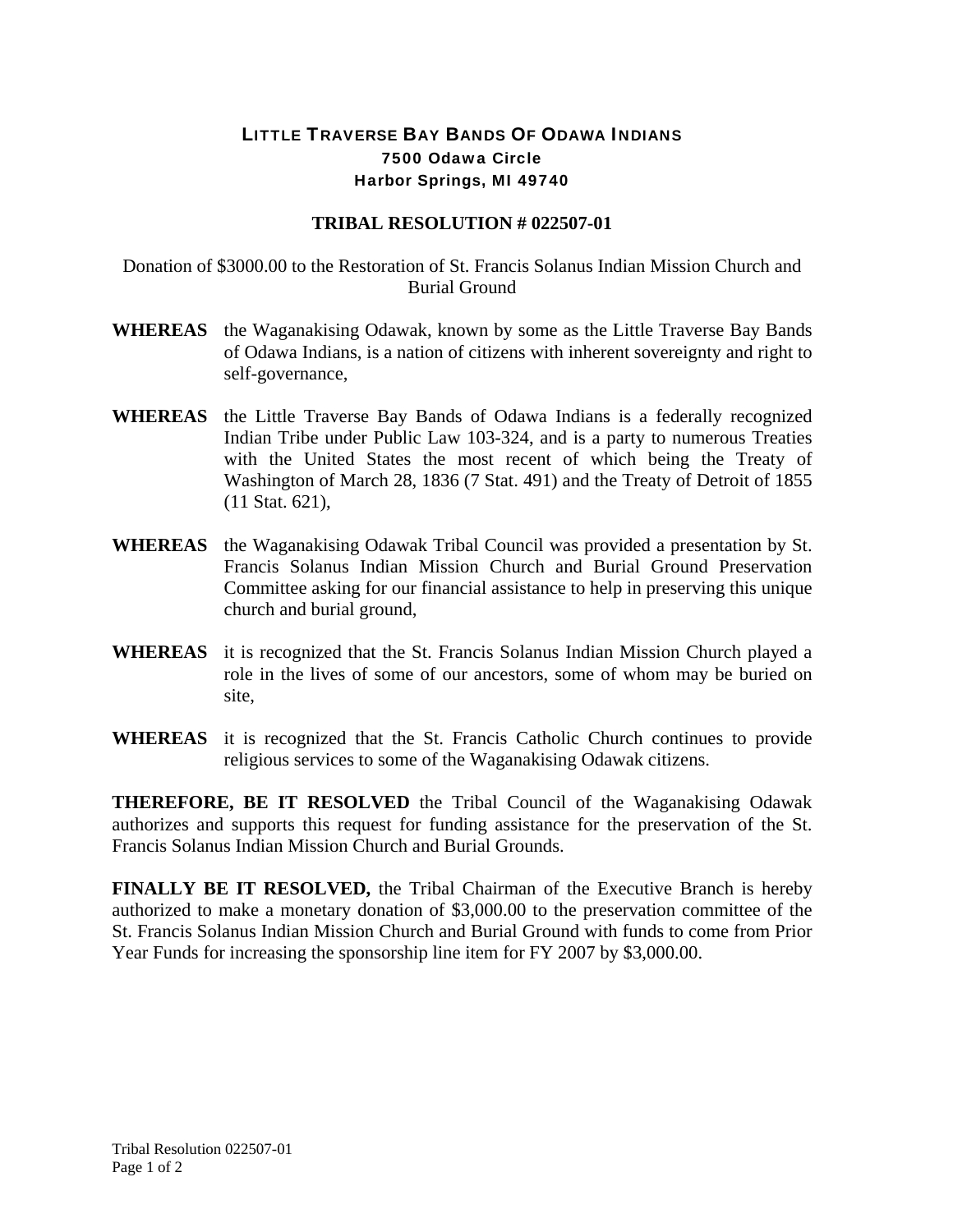## LITTLE TRAVERSE BAY BANDS OF ODAWA INDIANS 7500 Odawa Circle Harbor Springs, MI 49740

## **TRIBAL RESOLUTION # 022507-01**

Donation of \$3000.00 to the Restoration of St. Francis Solanus Indian Mission Church and Burial Ground

- **WHEREAS** the Waganakising Odawak, known by some as the Little Traverse Bay Bands of Odawa Indians, is a nation of citizens with inherent sovereignty and right to self-governance,
- **WHEREAS** the Little Traverse Bay Bands of Odawa Indians is a federally recognized Indian Tribe under Public Law 103-324, and is a party to numerous Treaties with the United States the most recent of which being the Treaty of Washington of March 28, 1836 (7 Stat. 491) and the Treaty of Detroit of 1855 (11 Stat. 621),
- **WHEREAS** the Waganakising Odawak Tribal Council was provided a presentation by St. Francis Solanus Indian Mission Church and Burial Ground Preservation Committee asking for our financial assistance to help in preserving this unique church and burial ground,
- **WHEREAS** it is recognized that the St. Francis Solanus Indian Mission Church played a role in the lives of some of our ancestors, some of whom may be buried on site,
- **WHEREAS** it is recognized that the St. Francis Catholic Church continues to provide religious services to some of the Waganakising Odawak citizens.

**THEREFORE, BE IT RESOLVED** the Tribal Council of the Waganakising Odawak authorizes and supports this request for funding assistance for the preservation of the St. Francis Solanus Indian Mission Church and Burial Grounds.

**FINALLY BE IT RESOLVED,** the Tribal Chairman of the Executive Branch is hereby authorized to make a monetary donation of \$3,000.00 to the preservation committee of the St. Francis Solanus Indian Mission Church and Burial Ground with funds to come from Prior Year Funds for increasing the sponsorship line item for FY 2007 by \$3,000.00.